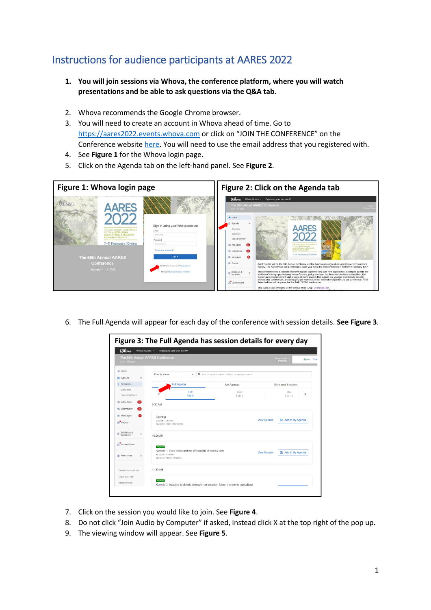## Instructions for audience participants at AARES 2022

- **1. You will join sessions via Whova, the conference platform, where you will watch presentations and be able to ask questions via the Q&A tab.**
- 2. Whova recommends the Google Chrome browser.
- 3. You will need to create an account in Whova ahead of time. Go to [https://aares2022.events.whova.com](https://aus01.safelinks.protection.outlook.com/?url=https%3A%2F%2Faares2022.events.whova.com%2F&data=04%7C01%7Clmorales%40myune.mail.onmicrosoft.com%7C1aabab70c2b94687b76308d9da3c8bef%7C3e104c4f8ef24d1483d8bd7d3b46b8db%7C0%7C0%7C637780775845996053%7CUnknown%7CTWFpbGZsb3d8eyJWIjoiMC4wLjAwMDAiLCJQIjoiV2luMzIiLCJBTiI6Ik1haWwiLCJXVCI6Mn0%3D%7C3000&sdata=ld2FreD%2BjwbwzJvXhc1m%2FXDECmzde8uSSsWOLKb%2FpXE%3D&reserved=0) or click on "JOIN THE CONFERENCE" on the Conference websit[e here.](http://aares2022.org.au/) You will need to use the email address that you registered with.
- 4. See **Figure 1** for the Whova login page.
- 5. Click on the Agenda tab on the left-hand panel. See **Figure 2**.



6. The Full Agenda will appear for each day of the conference with session details. **See Figure 3**.

| Figure 3: The Full Agenda has session details for every day        |                                                                                                                     |                            |                                                   |                                           |                           |               |
|--------------------------------------------------------------------|---------------------------------------------------------------------------------------------------------------------|----------------------------|---------------------------------------------------|-------------------------------------------|---------------------------|---------------|
| <b>Ulhova</b><br>Whova Guides -                                    |                                                                                                                     | Organizing your own event? |                                                   |                                           |                           |               |
| The 66th Annual AARES Conference<br>Feb 7 - 11, 2022               |                                                                                                                     |                            |                                                   |                                           | Sponsor leve<br>Principa  | <b>Cray</b>   |
| 骨 Home<br><b>首 Agenda</b>                                          | Filter by tracks                                                                                                    | ٠                          | Q Search session name, location, or speaker name. |                                           |                           |               |
| · Sessions                                                         |                                                                                                                     | <b>Full Agenda</b>         | My Agenda                                         |                                           | <b>Rehearsal Sessions</b> |               |
| Speakers<br><b>Speed Network</b>                                   |                                                                                                                     | Tue<br>Feb 8               | Wed<br>Feb 9                                      |                                           | Thu<br>Feb 10             | $\rightarrow$ |
| $\sigma$<br>出 Attendees<br><b>R</b> <sub>a</sub> Community<br>- 22 | 9:30 AM                                                                                                             |                            |                                                   |                                           |                           |               |
| <b>圖 Messages</b><br>ſ 8<br>m <sup>o</sup> Photos                  | Opening<br>9:30 AM - 10:00 AM<br>Speakers: Shane Fitzsimmons                                                        |                            |                                                   | <b>View Session</b>                       | 菌 Add to My Agenda        |               |
| Exhibitors &<br>Ħ<br>$\rightarrow$<br>Sponsors                     | 10:00 AM                                                                                                            |                            |                                                   |                                           |                           |               |
| .i. Leaderboard                                                    | Keynote                                                                                                             |                            |                                                   |                                           |                           |               |
| <b>E</b> Resources<br>$\mathcal{P}$                                | Keynote 1: Food prices and the affordability of healthy diets<br>10:00 AM - 11:00 AM<br>Speakers: William A Masters |                            |                                                   | <b>View Session</b><br>菌 Add to My Agenda |                           |               |
| Feedback to Whova                                                  | 11:00 AM                                                                                                            |                            |                                                   |                                           |                           |               |
|                                                                    |                                                                                                                     |                            |                                                   |                                           |                           |               |

- 7. Click on the session you would like to join. See **Figure 4**.
- 8. Do not click "Join Audio by Computer" if asked, instead click X at the top right of the pop up.
- 9. The viewing window will appear. See **Figure 5**.